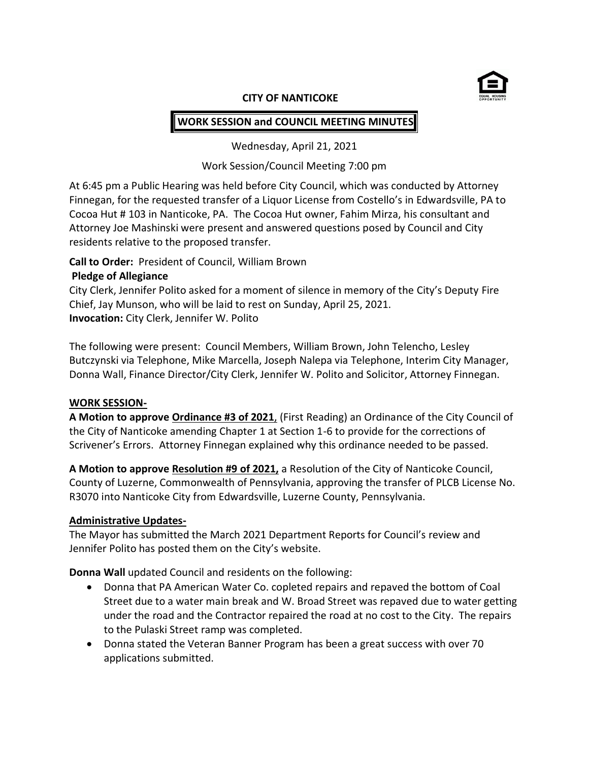

#### **CITY OF NANTICOKE**

# **WORK SESSION and COUNCIL MEETING MINUTES**

Wednesday, April 21, 2021

## Work Session/Council Meeting 7:00 pm

At 6:45 pm a Public Hearing was held before City Council, which was conducted by Attorney Finnegan, for the requested transfer of a Liquor License from Costello's in Edwardsville, PA to Cocoa Hut # 103 in Nanticoke, PA. The Cocoa Hut owner, Fahim Mirza, his consultant and Attorney Joe Mashinski were present and answered questions posed by Council and City residents relative to the proposed transfer.

# **Call to Order:** President of Council, William Brown

### **Pledge of Allegiance**

City Clerk, Jennifer Polito asked for a moment of silence in memory of the City's Deputy Fire Chief, Jay Munson, who will be laid to rest on Sunday, April 25, 2021. **Invocation:** City Clerk, Jennifer W. Polito

The following were present: Council Members, William Brown, John Telencho, Lesley Butczynski via Telephone, Mike Marcella, Joseph Nalepa via Telephone, Interim City Manager, Donna Wall, Finance Director/City Clerk, Jennifer W. Polito and Solicitor, Attorney Finnegan.

#### **WORK SESSION-**

**A Motion to approve Ordinance #3 of 2021**, (First Reading) an Ordinance of the City Council of the City of Nanticoke amending Chapter 1 at Section 1-6 to provide for the corrections of Scrivener's Errors. Attorney Finnegan explained why this ordinance needed to be passed.

**A Motion to approve Resolution #9 of 2021,** a Resolution of the City of Nanticoke Council, County of Luzerne, Commonwealth of Pennsylvania, approving the transfer of PLCB License No. R3070 into Nanticoke City from Edwardsville, Luzerne County, Pennsylvania.

# **Administrative Updates-**

The Mayor has submitted the March 2021 Department Reports for Council's review and Jennifer Polito has posted them on the City's website.

**Donna Wall** updated Council and residents on the following:

- Donna that PA American Water Co. copleted repairs and repaved the bottom of Coal Street due to a water main break and W. Broad Street was repaved due to water getting under the road and the Contractor repaired the road at no cost to the City. The repairs to the Pulaski Street ramp was completed.
- Donna stated the Veteran Banner Program has been a great success with over 70 applications submitted.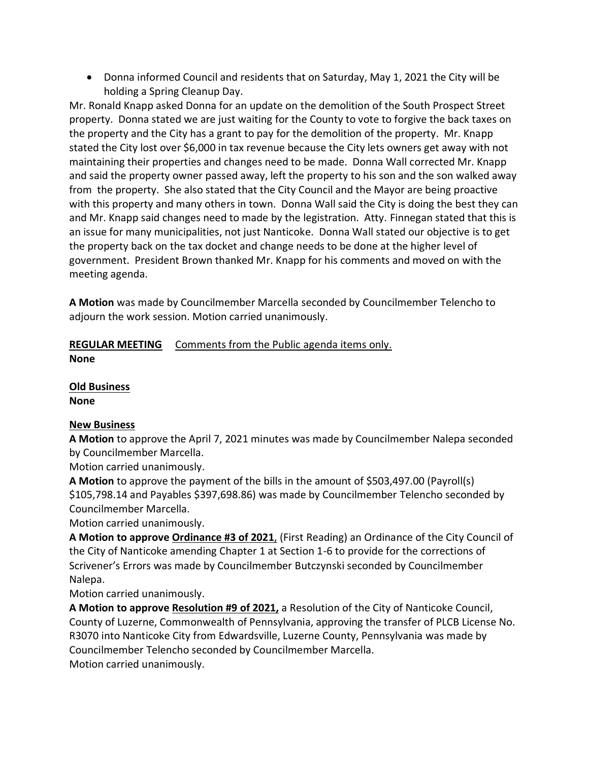• Donna informed Council and residents that on Saturday, May 1, 2021 the City will be holding a Spring Cleanup Day.

Mr. Ronald Knapp asked Donna for an update on the demolition of the South Prospect Street property. Donna stated we are just waiting for the County to vote to forgive the back taxes on the property and the City has a grant to pay for the demolition of the property. Mr. Knapp stated the City lost over \$6,000 in tax revenue because the City lets owners get away with not maintaining their properties and changes need to be made. Donna Wall corrected Mr. Knapp and said the property owner passed away, left the property to his son and the son walked away from the property. She also stated that the City Council and the Mayor are being proactive with this property and many others in town. Donna Wall said the City is doing the best they can and Mr. Knapp said changes need to made by the legistration. Atty. Finnegan stated that this is an issue for many municipalities, not just Nanticoke. Donna Wall stated our objective is to get the property back on the tax docket and change needs to be done at the higher level of government. President Brown thanked Mr. Knapp for his comments and moved on with the meeting agenda.

**A Motion** was made by Councilmember Marcella seconded by Councilmember Telencho to adjourn the work session. Motion carried unanimously.

#### **REGULAR MEETING** Comments from the Public agenda items only. **None**

**Old Business None**

# **New Business**

**A Motion** to approve the April 7, 2021 minutes was made by Councilmember Nalepa seconded by Councilmember Marcella.

Motion carried unanimously.

**A Motion** to approve the payment of the bills in the amount of \$503,497.00 (Payroll(s) \$105,798.14 and Payables \$397,698.86) was made by Councilmember Telencho seconded by Councilmember Marcella.

Motion carried unanimously.

**A Motion to approve Ordinance #3 of 2021**, (First Reading) an Ordinance of the City Council of the City of Nanticoke amending Chapter 1 at Section 1-6 to provide for the corrections of Scrivener's Errors was made by Councilmember Butczynski seconded by Councilmember Nalepa.

Motion carried unanimously.

**A Motion to approve Resolution #9 of 2021,** a Resolution of the City of Nanticoke Council, County of Luzerne, Commonwealth of Pennsylvania, approving the transfer of PLCB License No. R3070 into Nanticoke City from Edwardsville, Luzerne County, Pennsylvania was made by Councilmember Telencho seconded by Councilmember Marcella. Motion carried unanimously.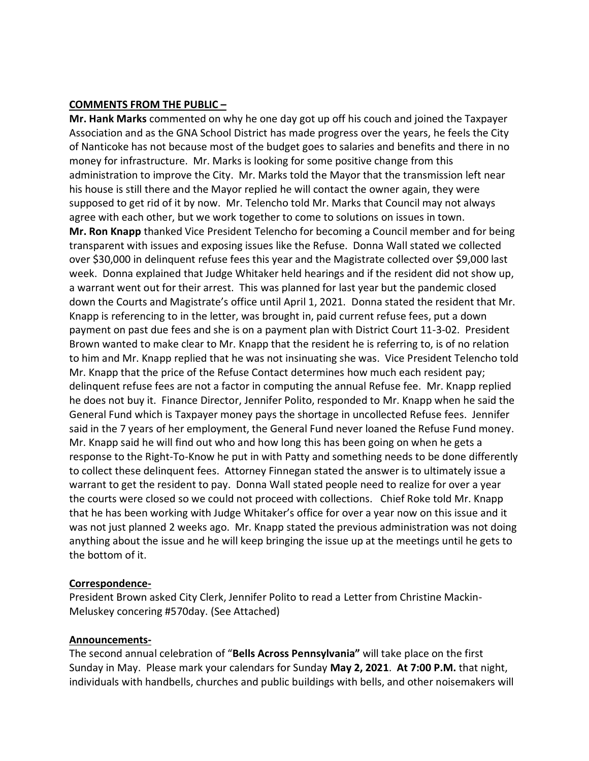#### **COMMENTS FROM THE PUBLIC –**

**Mr. Hank Marks** commented on why he one day got up off his couch and joined the Taxpayer Association and as the GNA School District has made progress over the years, he feels the City of Nanticoke has not because most of the budget goes to salaries and benefits and there in no money for infrastructure. Mr. Marks is looking for some positive change from this administration to improve the City. Mr. Marks told the Mayor that the transmission left near his house is still there and the Mayor replied he will contact the owner again, they were supposed to get rid of it by now. Mr. Telencho told Mr. Marks that Council may not always agree with each other, but we work together to come to solutions on issues in town. **Mr. Ron Knapp** thanked Vice President Telencho for becoming a Council member and for being transparent with issues and exposing issues like the Refuse. Donna Wall stated we collected over \$30,000 in delinquent refuse fees this year and the Magistrate collected over \$9,000 last week. Donna explained that Judge Whitaker held hearings and if the resident did not show up, a warrant went out for their arrest. This was planned for last year but the pandemic closed down the Courts and Magistrate's office until April 1, 2021. Donna stated the resident that Mr. Knapp is referencing to in the letter, was brought in, paid current refuse fees, put a down payment on past due fees and she is on a payment plan with District Court 11-3-02. President Brown wanted to make clear to Mr. Knapp that the resident he is referring to, is of no relation to him and Mr. Knapp replied that he was not insinuating she was. Vice President Telencho told Mr. Knapp that the price of the Refuse Contact determines how much each resident pay; delinquent refuse fees are not a factor in computing the annual Refuse fee. Mr. Knapp replied he does not buy it. Finance Director, Jennifer Polito, responded to Mr. Knapp when he said the General Fund which is Taxpayer money pays the shortage in uncollected Refuse fees. Jennifer said in the 7 years of her employment, the General Fund never loaned the Refuse Fund money. Mr. Knapp said he will find out who and how long this has been going on when he gets a response to the Right-To-Know he put in with Patty and something needs to be done differently to collect these delinquent fees. Attorney Finnegan stated the answer is to ultimately issue a warrant to get the resident to pay. Donna Wall stated people need to realize for over a year the courts were closed so we could not proceed with collections. Chief Roke told Mr. Knapp that he has been working with Judge Whitaker's office for over a year now on this issue and it was not just planned 2 weeks ago. Mr. Knapp stated the previous administration was not doing anything about the issue and he will keep bringing the issue up at the meetings until he gets to the bottom of it.

#### **Correspondence-**

President Brown asked City Clerk, Jennifer Polito to read a Letter from Christine Mackin-Meluskey concering #570day. (See Attached)

#### **Announcements-**

The second annual celebration of "**Bells Across Pennsylvania"** will take place on the first Sunday in May. Please mark your calendars for Sunday **May 2, 2021**. **At 7:00 P.M.** that night, individuals with handbells, churches and public buildings with bells, and other noisemakers will